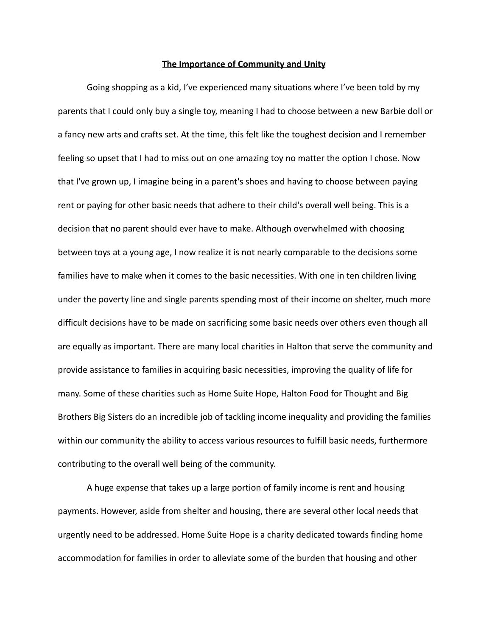## **The Importance of Community and Unity**

Going shopping as a kid, I've experienced many situations where I've been told by my parents that I could only buy a single toy, meaning I had to choose between a new Barbie doll or a fancy new arts and crafts set. At the time, this felt like the toughest decision and I remember feeling so upset that I had to miss out on one amazing toy no matter the option I chose. Now that I've grown up, I imagine being in a parent's shoes and having to choose between paying rent or paying for other basic needs that adhere to their child's overall well being. This is a decision that no parent should ever have to make. Although overwhelmed with choosing between toys at a young age, I now realize it is not nearly comparable to the decisions some families have to make when it comes to the basic necessities. With one in ten children living under the poverty line and single parents spending most of their income on shelter, much more difficult decisions have to be made on sacrificing some basic needs over others even though all are equally as important. There are many local charities in Halton that serve the community and provide assistance to families in acquiring basic necessities, improving the quality of life for many. Some of these charities such as Home Suite Hope, Halton Food for Thought and Big Brothers Big Sisters do an incredible job of tackling income inequality and providing the families within our community the ability to access various resources to fulfill basic needs, furthermore contributing to the overall well being of the community.

A huge expense that takes up a large portion of family income is rent and housing payments. However, aside from shelter and housing, there are several other local needs that urgently need to be addressed. Home Suite Hope is a charity dedicated towards finding home accommodation for families in order to alleviate some of the burden that housing and other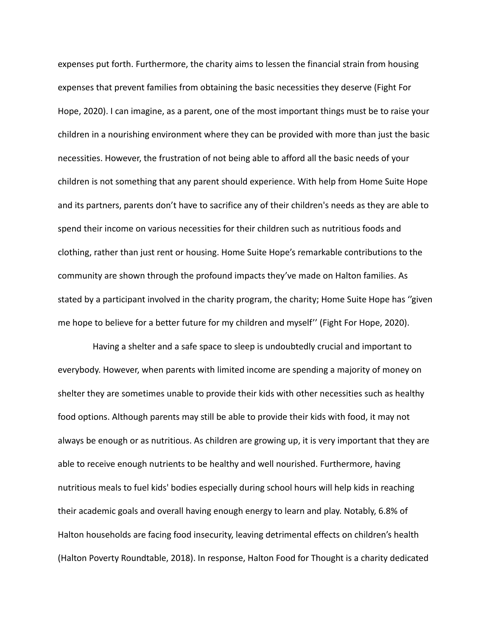expenses put forth. Furthermore, the charity aims to lessen the financial strain from housing expenses that prevent families from obtaining the basic necessities they deserve (Fight For Hope, 2020). I can imagine, as a parent, one of the most important things must be to raise your children in a nourishing environment where they can be provided with more than just the basic necessities. However, the frustration of not being able to afford all the basic needs of your children is not something that any parent should experience. With help from Home Suite Hope and its partners, parents don't have to sacrifice any of their children's needs as they are able to spend their income on various necessities for their children such as nutritious foods and clothing, rather than just rent or housing. Home Suite Hope's remarkable contributions to the community are shown through the profound impacts they've made on Halton families. As stated by a participant involved in the charity program, the charity; Home Suite Hope has ''given me hope to believe for a better future for my children and myself'' (Fight For Hope, 2020).

Having a shelter and a safe space to sleep is undoubtedly crucial and important to everybody. However, when parents with limited income are spending a majority of money on shelter they are sometimes unable to provide their kids with other necessities such as healthy food options. Although parents may still be able to provide their kids with food, it may not always be enough or as nutritious. As children are growing up, it is very important that they are able to receive enough nutrients to be healthy and well nourished. Furthermore, having nutritious meals to fuel kids' bodies especially during school hours will help kids in reaching their academic goals and overall having enough energy to learn and play. Notably, 6.8% of Halton households are facing food insecurity, leaving detrimental effects on children's health (Halton Poverty Roundtable, 2018). In response, Halton Food for Thought is a charity dedicated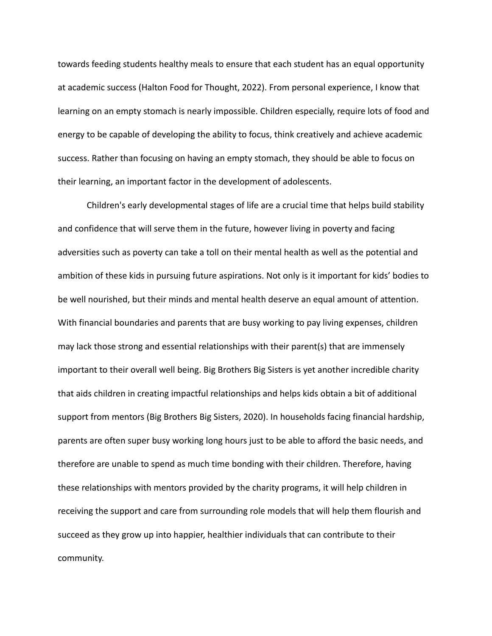towards feeding students healthy meals to ensure that each student has an equal opportunity at academic success (Halton Food for Thought, 2022). From personal experience, I know that learning on an empty stomach is nearly impossible. Children especially, require lots of food and energy to be capable of developing the ability to focus, think creatively and achieve academic success. Rather than focusing on having an empty stomach, they should be able to focus on their learning, an important factor in the development of adolescents.

Children's early developmental stages of life are a crucial time that helps build stability and confidence that will serve them in the future, however living in poverty and facing adversities such as poverty can take a toll on their mental health as well as the potential and ambition of these kids in pursuing future aspirations. Not only is it important for kids' bodies to be well nourished, but their minds and mental health deserve an equal amount of attention. With financial boundaries and parents that are busy working to pay living expenses, children may lack those strong and essential relationships with their parent(s) that are immensely important to their overall well being. Big Brothers Big Sisters is yet another incredible charity that aids children in creating impactful relationships and helps kids obtain a bit of additional support from mentors (Big Brothers Big Sisters, 2020). In households facing financial hardship, parents are often super busy working long hours just to be able to afford the basic needs, and therefore are unable to spend as much time bonding with their children. Therefore, having these relationships with mentors provided by the charity programs, it will help children in receiving the support and care from surrounding role models that will help them flourish and succeed as they grow up into happier, healthier individuals that can contribute to their community.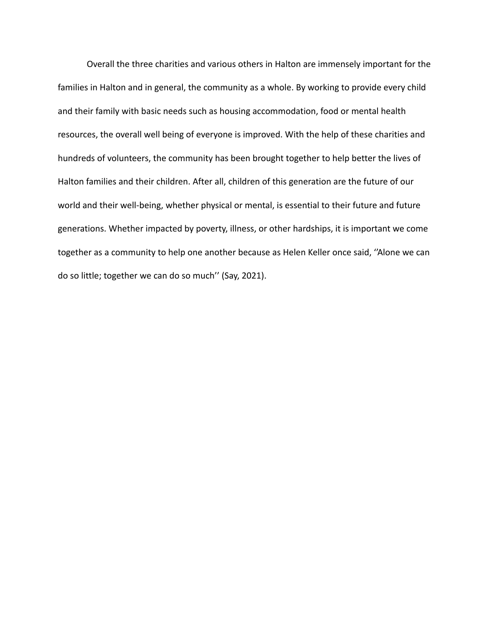Overall the three charities and various others in Halton are immensely important for the families in Halton and in general, the community as a whole. By working to provide every child and their family with basic needs such as housing accommodation, food or mental health resources, the overall well being of everyone is improved. With the help of these charities and hundreds of volunteers, the community has been brought together to help better the lives of Halton families and their children. After all, children of this generation are the future of our world and their well-being, whether physical or mental, is essential to their future and future generations. Whether impacted by poverty, illness, or other hardships, it is important we come together as a community to help one another because as Helen Keller once said, ''Alone we can do so little; together we can do so much'' (Say, 2021).